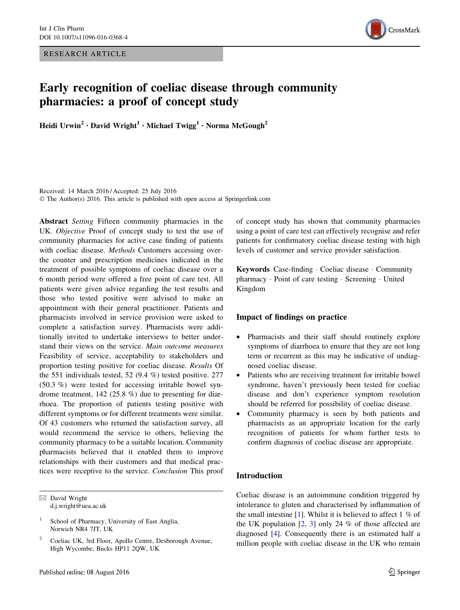RESEARCH ARTICLE



# Early recognition of coeliac disease through community pharmacies: a proof of concept study

Heidi Urwin<sup>2</sup> · David Wright<sup>1</sup> · Michael Twigg<sup>1</sup> · Norma McGough<sup>2</sup>

Received: 14 March 2016 / Accepted: 25 July 2016 © The Author(s) 2016. This article is published with open access at Springerlink.com

Abstract Setting Fifteen community pharmacies in the UK. Objective Proof of concept study to test the use of community pharmacies for active case finding of patients with coeliac disease. Methods Customers accessing overthe counter and prescription medicines indicated in the treatment of possible symptoms of coeliac disease over a 6 month period were offered a free point of care test. All patients were given advice regarding the test results and those who tested positive were advised to make an appointment with their general practitioner. Patients and pharmacists involved in service provision were asked to complete a satisfaction survey. Pharmacists were additionally invited to undertake interviews to better understand their views on the service. Main outcome measures Feasibility of service, acceptability to stakeholders and proportion testing positive for coeliac disease. Results Of the 551 individuals tested, 52 (9.4 %) tested positive. 277 (50.3 %) were tested for accessing irritable bowel syndrome treatment, 142 (25.8 %) due to presenting for diarrhoea. The proportion of patients testing positive with different symptoms or for different treatments were similar. Of 43 customers who returned the satisfaction survey, all would recommend the service to others, believing the community pharmacy to be a suitable location. Community pharmacists believed that it enabled them to improve relationships with their customers and that medical practices were receptive to the service. Conclusion This proof

 $\boxtimes$  David Wright d.j.wright@uea.ac.uk

School of Pharmacy, University of East Anglia, Norwich NR4 7JT, UK

of concept study has shown that community pharmacies using a point of care test can effectively recognise and refer patients for confirmatory coeliac disease testing with high levels of customer and service provider satisfaction.

Keywords Case-finding - Coeliac disease - Community pharmacy · Point of care testing · Screening · United Kingdom

# Impact of findings on practice

- Pharmacists and their staff should routinely explore symptoms of diarrhoea to ensure that they are not long term or recurrent as this may be indicative of undiagnosed coeliac disease.
- Patients who are receiving treatment for irritable bowel syndrome, haven't previously been tested for coeliac disease and don't experience symptom resolution should be referred for possibility of coeliac disease.
- Community pharmacy is seen by both patients and pharmacists as an appropriate location for the early recognition of patients for whom further tests to confirm diagnosis of coeliac disease are appropriate.

# Introduction

Coeliac disease is an autoimmune condition triggered by intolerance to gluten and characterised by inflammation of the small intestine [[1\]](#page-5-0). Whilst it is believed to affect 1 % of the UK population  $[2, 3]$  $[2, 3]$  $[2, 3]$  $[2, 3]$  only 24 % of those affected are diagnosed [\[4](#page-6-0)]. Consequently there is an estimated half a million people with coeliac disease in the UK who remain

<sup>2</sup> Coeliac UK, 3rd Floor, Apollo Centre, Desborough Avenue, High Wycombe, Bucks HP11 2QW, UK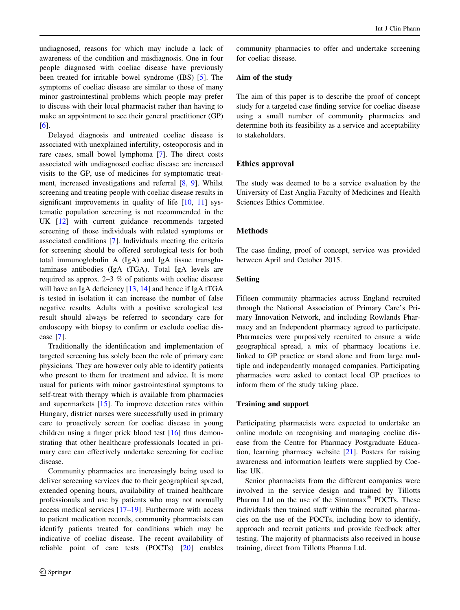undiagnosed, reasons for which may include a lack of awareness of the condition and misdiagnosis. One in four people diagnosed with coeliac disease have previously been treated for irritable bowel syndrome (IBS) [[5\]](#page-6-0). The symptoms of coeliac disease are similar to those of many minor gastrointestinal problems which people may prefer to discuss with their local pharmacist rather than having to make an appointment to see their general practitioner (GP) [\[6](#page-6-0)].

Delayed diagnosis and untreated coeliac disease is associated with unexplained infertility, osteoporosis and in rare cases, small bowel lymphoma [[7\]](#page-6-0). The direct costs associated with undiagnosed coeliac disease are increased visits to the GP, use of medicines for symptomatic treatment, increased investigations and referral [[8,](#page-6-0) [9](#page-6-0)]. Whilst screening and treating people with coeliac disease results in significant improvements in quality of life [\[10](#page-6-0), [11](#page-6-0)] systematic population screening is not recommended in the UK [[12\]](#page-6-0) with current guidance recommends targeted screening of those individuals with related symptoms or associated conditions [[7\]](#page-6-0). Individuals meeting the criteria for screening should be offered serological tests for both total immunoglobulin A (IgA) and IgA tissue transglutaminase antibodies (IgA tTGA). Total IgA levels are required as approx. 2–3 % of patients with coeliac disease will have an IgA deficiency [[13,](#page-6-0) [14](#page-6-0)] and hence if IgA tTGA is tested in isolation it can increase the number of false negative results. Adults with a positive serological test result should always be referred to secondary care for endoscopy with biopsy to confirm or exclude coeliac disease [[7\]](#page-6-0).

Traditionally the identification and implementation of targeted screening has solely been the role of primary care physicians. They are however only able to identify patients who present to them for treatment and advice. It is more usual for patients with minor gastrointestinal symptoms to self-treat with therapy which is available from pharmacies and supermarkets [\[15](#page-6-0)]. To improve detection rates within Hungary, district nurses were successfully used in primary care to proactively screen for coeliac disease in young children using a finger prick blood test [[16\]](#page-6-0) thus demonstrating that other healthcare professionals located in primary care can effectively undertake screening for coeliac disease.

Community pharmacies are increasingly being used to deliver screening services due to their geographical spread, extended opening hours, availability of trained healthcare professionals and use by patients who may not normally access medical services [\[17–19](#page-6-0)]. Furthermore with access to patient medication records, community pharmacists can identify patients treated for conditions which may be indicative of coeliac disease. The recent availability of reliable point of care tests (POCTs) [[20\]](#page-6-0) enables

community pharmacies to offer and undertake screening for coeliac disease.

#### Aim of the study

The aim of this paper is to describe the proof of concept study for a targeted case finding service for coeliac disease using a small number of community pharmacies and determine both its feasibility as a service and acceptability to stakeholders.

#### Ethics approval

The study was deemed to be a service evaluation by the University of East Anglia Faculty of Medicines and Health Sciences Ethics Committee.

## Methods

The case finding, proof of concept, service was provided between April and October 2015.

#### Setting

Fifteen community pharmacies across England recruited through the National Association of Primary Care's Primary Innovation Network, and including Rowlands Pharmacy and an Independent pharmacy agreed to participate. Pharmacies were purposively recruited to ensure a wide geographical spread, a mix of pharmacy locations i.e. linked to GP practice or stand alone and from large multiple and independently managed companies. Participating pharmacies were asked to contact local GP practices to inform them of the study taking place.

## Training and support

Participating pharmacists were expected to undertake an online module on recognising and managing coeliac disease from the Centre for Pharmacy Postgraduate Education, learning pharmacy website [[21\]](#page-6-0). Posters for raising awareness and information leaflets were supplied by Coeliac UK.

Senior pharmacists from the different companies were involved in the service design and trained by Tillotts Pharma Ltd on the use of the Simtomax<sup>®</sup> POCTs. These individuals then trained staff within the recruited pharmacies on the use of the POCTs, including how to identify, approach and recruit patients and provide feedback after testing. The majority of pharmacists also received in house training, direct from Tillotts Pharma Ltd.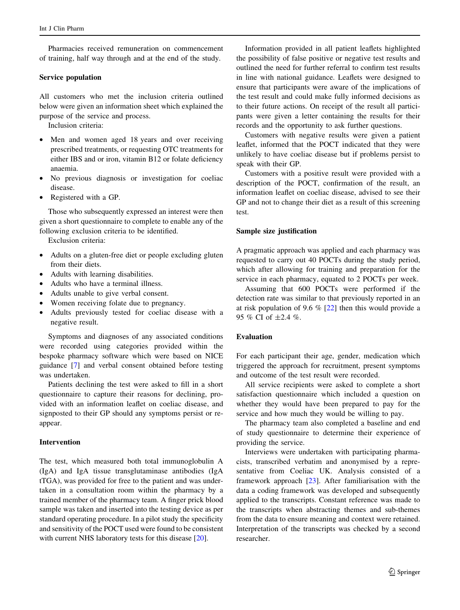Pharmacies received remuneration on commencement of training, half way through and at the end of the study.

#### Service population

All customers who met the inclusion criteria outlined below were given an information sheet which explained the purpose of the service and process.

Inclusion criteria:

- Men and women aged 18 years and over receiving prescribed treatments, or requesting OTC treatments for either IBS and or iron, vitamin B12 or folate deficiency anaemia.
- No previous diagnosis or investigation for coeliac disease.
- Registered with a GP.

Those who subsequently expressed an interest were then given a short questionnaire to complete to enable any of the following exclusion criteria to be identified.

Exclusion criteria:

- Adults on a gluten-free diet or people excluding gluten from their diets.
- Adults with learning disabilities.
- Adults who have a terminal illness.
- Adults unable to give verbal consent.
- Women receiving folate due to pregnancy.
- Adults previously tested for coeliac disease with a negative result.

Symptoms and diagnoses of any associated conditions were recorded using categories provided within the bespoke pharmacy software which were based on NICE guidance [\[7](#page-6-0)] and verbal consent obtained before testing was undertaken.

Patients declining the test were asked to fill in a short questionnaire to capture their reasons for declining, provided with an information leaflet on coeliac disease, and signposted to their GP should any symptoms persist or reappear.

# Intervention

The test, which measured both total immunoglobulin A (IgA) and IgA tissue transglutaminase antibodies (IgA tTGA), was provided for free to the patient and was undertaken in a consultation room within the pharmacy by a trained member of the pharmacy team. A finger prick blood sample was taken and inserted into the testing device as per standard operating procedure. In a pilot study the specificity and sensitivity of the POCT used were found to be consistent with current NHS laboratory tests for this disease [\[20](#page-6-0)].

Information provided in all patient leaflets highlighted the possibility of false positive or negative test results and outlined the need for further referral to confirm test results in line with national guidance. Leaflets were designed to ensure that participants were aware of the implications of the test result and could make fully informed decisions as to their future actions. On receipt of the result all participants were given a letter containing the results for their records and the opportunity to ask further questions.

Customers with negative results were given a patient leaflet, informed that the POCT indicated that they were unlikely to have coeliac disease but if problems persist to speak with their GP.

Customers with a positive result were provided with a description of the POCT, confirmation of the result, an information leaflet on coeliac disease, advised to see their GP and not to change their diet as a result of this screening test.

# Sample size justification

A pragmatic approach was applied and each pharmacy was requested to carry out 40 POCTs during the study period, which after allowing for training and preparation for the service in each pharmacy, equated to 2 POCTs per week.

Assuming that 600 POCTs were performed if the detection rate was similar to that previously reported in an at risk population of 9.6 % [\[22](#page-6-0)] then this would provide a 95 % CI of  $\pm 2.4$  %.

# Evaluation

For each participant their age, gender, medication which triggered the approach for recruitment, present symptoms and outcome of the test result were recorded.

All service recipients were asked to complete a short satisfaction questionnaire which included a question on whether they would have been prepared to pay for the service and how much they would be willing to pay.

The pharmacy team also completed a baseline and end of study questionnaire to determine their experience of providing the service.

Interviews were undertaken with participating pharmacists, transcribed verbatim and anonymised by a representative from Coeliac UK. Analysis consisted of a framework approach [[23\]](#page-6-0). After familiarisation with the data a coding framework was developed and subsequently applied to the transcripts. Constant reference was made to the transcripts when abstracting themes and sub-themes from the data to ensure meaning and context were retained. Interpretation of the transcripts was checked by a second researcher.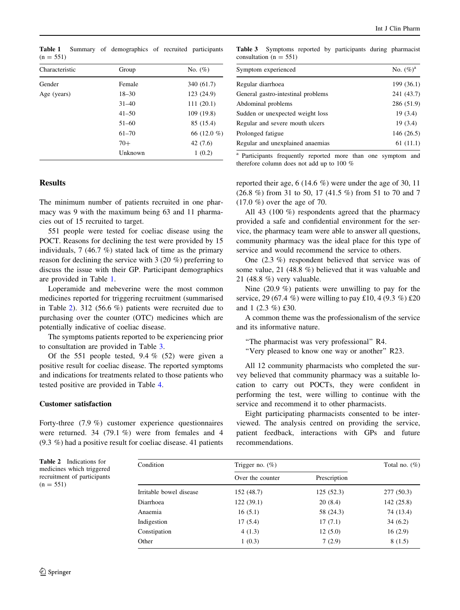<span id="page-3-0"></span>Table 1 Summary of demographics of recruited participants  $(n = 551)$ 

| Characteristic | Group     | No. $(\%)$  |
|----------------|-----------|-------------|
| Gender         | Female    | 340 (61.7)  |
| Age (years)    | $18 - 30$ | 123 (24.9)  |
|                | $31 - 40$ | 111(20.1)   |
|                | $41 - 50$ | 109 (19.8)  |
|                | $51 - 60$ | 85 (15.4)   |
|                | $61 - 70$ | 66 (12.0 %) |
|                | $70+$     | 42 (7.6)    |
|                | Unknown   | 1(0.2)      |

# Results

The minimum number of patients recruited in one pharmacy was 9 with the maximum being 63 and 11 pharmacies out of 15 recruited to target.

551 people were tested for coeliac disease using the POCT. Reasons for declining the test were provided by 15 individuals, 7 (46.7 %) stated lack of time as the primary reason for declining the service with 3 (20 %) preferring to discuss the issue with their GP. Participant demographics are provided in Table 1.

Loperamide and mebeverine were the most common medicines reported for triggering recruitment (summarised in Table 2). 312 (56.6 %) patients were recruited due to purchasing over the counter (OTC) medicines which are potentially indicative of coeliac disease.

The symptoms patients reported to be experiencing prior to consultation are provided in Table 3.

Of the 551 people tested,  $9.4\%$  (52) were given a positive result for coeliac disease. The reported symptoms and indications for treatments related to those patients who tested positive are provided in Table [4.](#page-4-0)

#### Customer satisfaction

Forty-three (7.9 %) customer experience questionnaires were returned. 34 (79.1 %) were from females and 4 (9.3 %) had a positive result for coeliac disease. 41 patients

Table 3 Symptoms reported by participants during pharmacist consultation ( $n = 551$ )

| Symptom experienced                | No. $(\%)^a$ |  |
|------------------------------------|--------------|--|
| Regular diarrhoea                  | 199(36.1)    |  |
| General gastro-intestinal problems | 241 (43.7)   |  |
| Abdominal problems                 | 286 (51.9)   |  |
| Sudden or unexpected weight loss   | 19(3.4)      |  |
| Regular and severe mouth ulcers    | 19(3.4)      |  |
| Prolonged fatigue                  | 146(26.5)    |  |
| Regular and unexplained anaemias   | 61(11.1)     |  |

<sup>a</sup> Participants frequently reported more than one symptom and therefore column does not add up to 100 %

reported their age, 6 (14.6 %) were under the age of 30, 11 (26.8 %) from 31 to 50, 17 (41.5 %) from 51 to 70 and 7 (17.0 %) over the age of 70.

All 43 (100 %) respondents agreed that the pharmacy provided a safe and confidential environment for the service, the pharmacy team were able to answer all questions, community pharmacy was the ideal place for this type of service and would recommend the service to others.

One (2.3 %) respondent believed that service was of some value, 21 (48.8 %) believed that it was valuable and 21 (48.8 %) very valuable.

Nine (20.9 %) patients were unwilling to pay for the service, 29 (67.4 %) were willing to pay £10, 4 (9.3 %) £20 and 1 (2.3 %) £30.

A common theme was the professionalism of the service and its informative nature.

''The pharmacist was very professional'' R4.

''Very pleased to know one way or another'' R23.

All 12 community pharmacists who completed the survey believed that community pharmacy was a suitable location to carry out POCTs, they were confident in performing the test, were willing to continue with the service and recommend it to other pharmacists.

Eight participating pharmacists consented to be interviewed. The analysis centred on providing the service, patient feedback, interactions with GPs and future recommendations.

Table 2 Indications for medicines which triggered recruitment of participants  $(n = 551)$ 

| Condition               | Trigger no. $(\%)$ |              | Total no. $(\%)$ |
|-------------------------|--------------------|--------------|------------------|
|                         | Over the counter   | Prescription |                  |
| Irritable bowel disease | 152(48.7)          | 125(52.3)    | 277 (50.3)       |
| Diarrhoea               | 122(39.1)          | 20(8.4)      | 142 (25.8)       |
| Anaemia                 | 16(5.1)            | 58 (24.3)    | 74 (13.4)        |
| Indigestion             | 17(5.4)            | 17(7.1)      | 34(6.2)          |
| Constipation            | 4(1.3)             | 12(5.0)      | 16(2.9)          |
| Other                   | 1(0.3)             | 7(2.9)       | 8(1.5)           |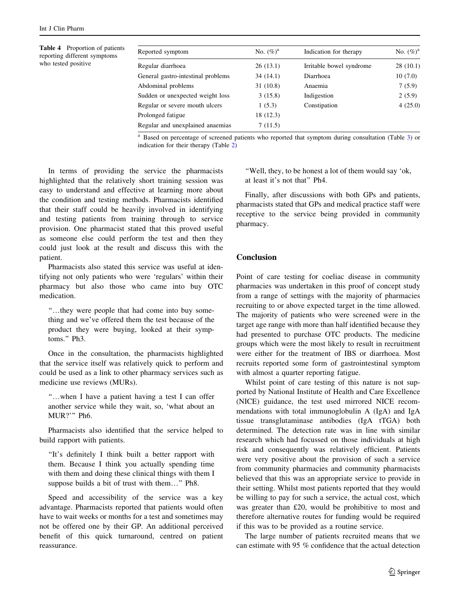<span id="page-4-0"></span>Table 4 Proportion of patients reporting different symptoms who tested positive

| Reported symptom                   | No. $(\%)^a$ | Indication for therapy   | No. $(\%)^a$ |
|------------------------------------|--------------|--------------------------|--------------|
| Regular diarrhoea                  | 26(13.1)     | Irritable bowel syndrome | 28(10.1)     |
| General gastro-intestinal problems | 34(14.1)     | Diarrhoea                | 10(7.0)      |
| Abdominal problems                 | 31(10.8)     | Anaemia                  | 7(5.9)       |
| Sudden or unexpected weight loss   | 3(15.8)      | Indigestion              | 2(5.9)       |
| Regular or severe mouth ulcers     | 1(5.3)       | Constipation             | 4(25.0)      |
| Prolonged fatigue                  | 18(12.3)     |                          |              |
| Regular and unexplained anaemias   | 7(11.5)      |                          |              |

<sup>a</sup> Based on percentage of screened patients who reported that symptom during consultation (Table [3](#page-3-0)) or indication for their therapy (Table [2](#page-3-0))

In terms of providing the service the pharmacists highlighted that the relatively short training session was easy to understand and effective at learning more about the condition and testing methods. Pharmacists identified that their staff could be heavily involved in identifying and testing patients from training through to service provision. One pharmacist stated that this proved useful as someone else could perform the test and then they could just look at the result and discuss this with the patient.

Pharmacists also stated this service was useful at identifying not only patients who were 'regulars' within their pharmacy but also those who came into buy OTC medication.

''…they were people that had come into buy something and we've offered them the test because of the product they were buying, looked at their symptoms.'' Ph3.

Once in the consultation, the pharmacists highlighted that the service itself was relatively quick to perform and could be used as a link to other pharmacy services such as medicine use reviews (MURs).

''…when I have a patient having a test I can offer another service while they wait, so, 'what about an MUR?''' Ph6.

Pharmacists also identified that the service helped to build rapport with patients.

''It's definitely I think built a better rapport with them. Because I think you actually spending time with them and doing these clinical things with them I suppose builds a bit of trust with them…'' Ph8.

Speed and accessibility of the service was a key advantage. Pharmacists reported that patients would often have to wait weeks or months for a test and sometimes may not be offered one by their GP. An additional perceived benefit of this quick turnaround, centred on patient reassurance.

''Well, they, to be honest a lot of them would say 'ok, at least it's not that'' Ph4.

Finally, after discussions with both GPs and patients, pharmacists stated that GPs and medical practice staff were receptive to the service being provided in community pharmacy.

# Conclusion

Point of care testing for coeliac disease in community pharmacies was undertaken in this proof of concept study from a range of settings with the majority of pharmacies recruiting to or above expected target in the time allowed. The majority of patients who were screened were in the target age range with more than half identified because they had presented to purchase OTC products. The medicine groups which were the most likely to result in recruitment were either for the treatment of IBS or diarrhoea. Most recruits reported some form of gastrointestinal symptom with almost a quarter reporting fatigue.

Whilst point of care testing of this nature is not supported by National Institute of Health and Care Excellence (NICE) guidance, the test used mirrored NICE recommendations with total immunoglobulin A (IgA) and IgA tissue transglutaminase antibodies (IgA tTGA) both determined. The detection rate was in line with similar research which had focussed on those individuals at high risk and consequently was relatively efficient. Patients were very positive about the provision of such a service from community pharmacies and community pharmacists believed that this was an appropriate service to provide in their setting. Whilst most patients reported that they would be willing to pay for such a service, the actual cost, which was greater than £20, would be prohibitive to most and therefore alternative routes for funding would be required if this was to be provided as a routine service.

The large number of patients recruited means that we can estimate with 95 % confidence that the actual detection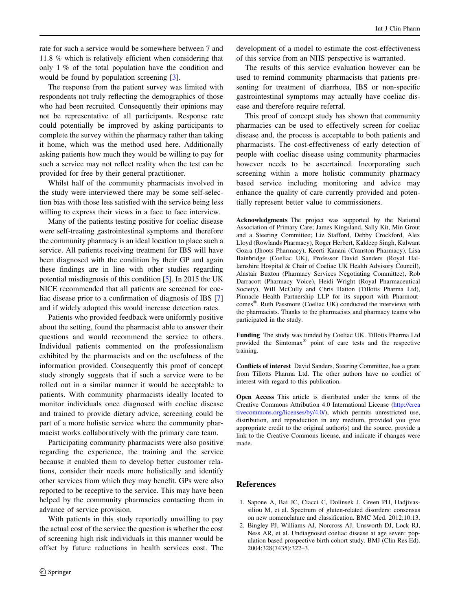<span id="page-5-0"></span>rate for such a service would be somewhere between 7 and 11.8 % which is relatively efficient when considering that only 1 % of the total population have the condition and would be found by population screening [\[3](#page-6-0)].

The response from the patient survey was limited with respondents not truly reflecting the demographics of those who had been recruited. Consequently their opinions may not be representative of all participants. Response rate could potentially be improved by asking participants to complete the survey within the pharmacy rather than taking it home, which was the method used here. Additionally asking patients how much they would be willing to pay for such a service may not reflect reality when the test can be provided for free by their general practitioner.

Whilst half of the community pharmacists involved in the study were interviewed there may be some self-selection bias with those less satisfied with the service being less willing to express their views in a face to face interview.

Many of the patients testing positive for coeliac disease were self-treating gastrointestinal symptoms and therefore the community pharmacy is an ideal location to place such a service. All patients receiving treatment for IBS will have been diagnosed with the condition by their GP and again these findings are in line with other studies regarding potential misdiagnosis of this condition [\[5](#page-6-0)]. In 2015 the UK NICE recommended that all patients are screened for coeliac disease prior to a confirmation of diagnosis of IBS [[7\]](#page-6-0) and if widely adopted this would increase detection rates.

Patients who provided feedback were uniformly positive about the setting, found the pharmacist able to answer their questions and would recommend the service to others. Individual patients commented on the professionalism exhibited by the pharmacists and on the usefulness of the information provided. Consequently this proof of concept study strongly suggests that if such a service were to be rolled out in a similar manner it would be acceptable to patients. With community pharmacists ideally located to monitor individuals once diagnosed with coeliac disease and trained to provide dietary advice, screening could be part of a more holistic service where the community pharmacist works collaboratively with the primary care team.

Participating community pharmacists were also positive regarding the experience, the training and the service because it enabled them to develop better customer relations, consider their needs more holistically and identify other services from which they may benefit. GPs were also reported to be receptive to the service. This may have been helped by the community pharmacies contacting them in advance of service provision.

With patients in this study reportedly unwilling to pay the actual cost of the service the question is whether the cost of screening high risk individuals in this manner would be offset by future reductions in health services cost. The development of a model to estimate the cost-effectiveness of this service from an NHS perspective is warranted.

The results of this service evaluation however can be used to remind community pharmacists that patients presenting for treatment of diarrhoea, IBS or non-specific gastrointestinal symptoms may actually have coeliac disease and therefore require referral.

This proof of concept study has shown that community pharmacies can be used to effectively screen for coeliac disease and, the process is acceptable to both patients and pharmacists. The cost-effectiveness of early detection of people with coeliac disease using community pharmacies however needs to be ascertained. Incorporating such screening within a more holistic community pharmacy based service including monitoring and advice may enhance the quality of care currently provided and potentially represent better value to commissioners.

Acknowledgments The project was supported by the National Association of Primary Care; James Kingsland, Sally Kit, Min Grout and a Steering Committee; Liz Stafford, Debby Crockford, Alex Lloyd (Rowlands Pharmacy), Roger Herbert, Kaldeep Singh, Kulwant Gozra (Jhoots Pharmacy), Keerti Kanani (Cranston Pharmacy), Lisa Bainbridge (Coeliac UK), Professor David Sanders (Royal Hallamshire Hospital & Chair of Coeliac UK Health Advisory Council), Alastair Buxton (Pharmacy Services Negotiating Committee), Rob Darracott (Pharmacy Voice), Heidi Wright (Royal Pharmaceutical Society), Will McCully and Chris Hatton (Tillotts Pharma Ltd), Pinnacle Health Partnership LLP for its support with Pharmout $comes^{\circledR}$ . Ruth Passmore (Coeliac UK) conducted the interviews with the pharmacists. Thanks to the pharmacists and pharmacy teams who participated in the study.

Funding The study was funded by Coeliac UK. Tillotts Pharma Ltd provided the Simtomax $\mathscr P$  point of care tests and the respective training.

Conflicts of interest David Sanders, Steering Committee, has a grant from Tillotts Pharma Ltd. The other authors have no conflict of interest with regard to this publication.

Open Access This article is distributed under the terms of the Creative Commons Attribution 4.0 International License ([http://crea](http://creativecommons.org/licenses/by/4.0/) [tivecommons.org/licenses/by/4.0/\)](http://creativecommons.org/licenses/by/4.0/), which permits unrestricted use, distribution, and reproduction in any medium, provided you give appropriate credit to the original author(s) and the source, provide a link to the Creative Commons license, and indicate if changes were made.

# References

- 1. Sapone A, Bai JC, Ciacci C, Dolinsek J, Green PH, Hadjivassiliou M, et al. Spectrum of gluten-related disorders: consensus on new nomenclature and classification. BMC Med. 2012;10:13.
- 2. Bingley PJ, Williams AJ, Norcross AJ, Unsworth DJ, Lock RJ, Ness AR, et al. Undiagnosed coeliac disease at age seven: population based prospective birth cohort study. BMJ (Clin Res Ed). 2004;328(7435):322–3.